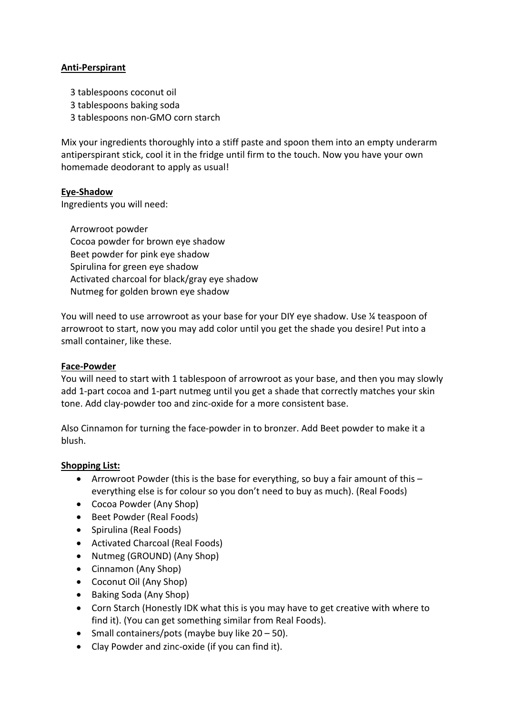# **Anti-Perspirant**

- 3 tablespoons coconut oil
- 3 tablespoons baking soda
- 3 tablespoons non-GMO corn starch

Mix your ingredients thoroughly into a stiff paste and spoon them into an empty underarm antiperspirant stick, cool it in the fridge until firm to the touch. Now you have your own homemade deodorant to apply as usual!

## **Eye-Shadow**

Ingredients you will need:

 Arrowroot powder Cocoa powder for brown eye shadow Beet powder for pink eye shadow Spirulina for green eye shadow Activated charcoal for black/gray eye shadow Nutmeg for golden brown eye shadow

You will need to use arrowroot as your base for your DIY eye shadow. Use ¼ teaspoon of arrowroot to start, now you may add color until you get the shade you desire! Put into a small container, like these.

## **Face-Powder**

You will need to start with 1 tablespoon of arrowroot as your base, and then you may slowly add 1-part cocoa and 1-part nutmeg until you get a shade that correctly matches your skin tone. Add clay-powder too and zinc-oxide for a more consistent base.

Also Cinnamon for turning the face-powder in to bronzer. Add Beet powder to make it a blush.

## **Shopping List:**

- Arrowroot Powder (this is the base for everything, so buy a fair amount of this  $$ everything else is for colour so you don't need to buy as much). (Real Foods)
- Cocoa Powder (Any Shop)
- Beet Powder (Real Foods)
- Spirulina (Real Foods)
- Activated Charcoal (Real Foods)
- Nutmeg (GROUND) (Any Shop)
- Cinnamon (Any Shop)
- Coconut Oil (Any Shop)
- Baking Soda (Any Shop)
- Corn Starch (Honestly IDK what this is you may have to get creative with where to find it). (You can get something similar from Real Foods).
- Small containers/pots (maybe buy like  $20 50$ ).
- Clay Powder and zinc-oxide (if you can find it).